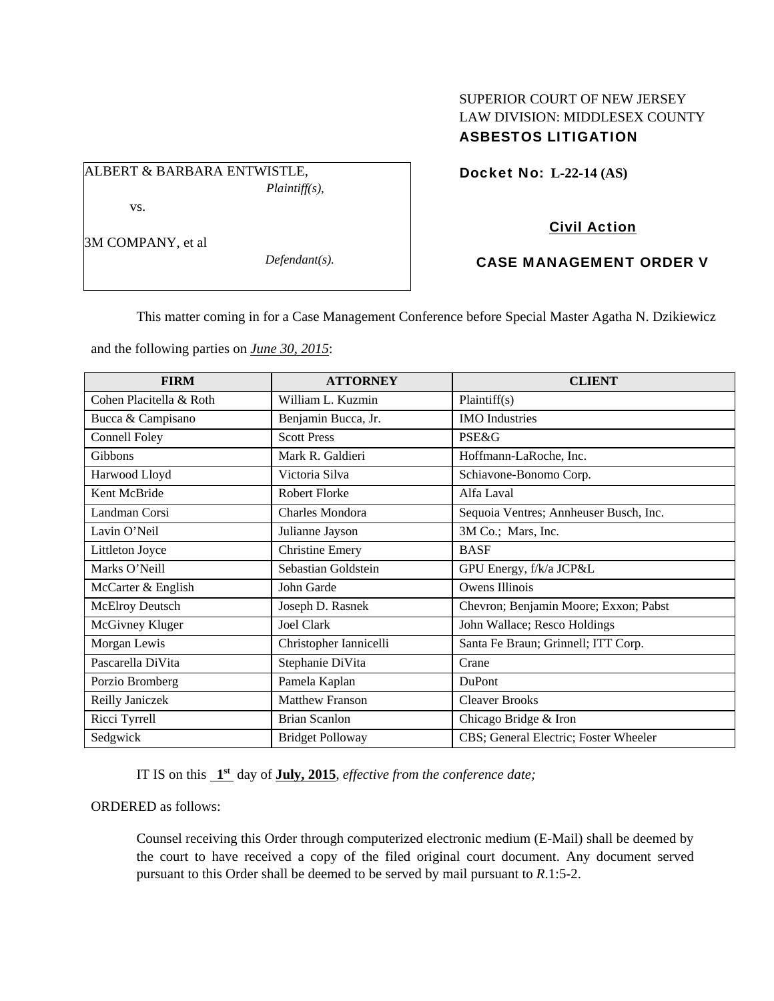# SUPERIOR COURT OF NEW JERSEY LAW DIVISION: MIDDLESEX COUNTY ASBESTOS LITIGATION

Docket No: **L-22-14 (AS)** 

# Civil Action

## CASE MANAGEMENT ORDER V

This matter coming in for a Case Management Conference before Special Master Agatha N. Dzikiewicz

and the following parties on *June 30, 2015*:

ALBERT & BARBARA ENTWISTLE,

| <b>FIRM</b>             | <b>ATTORNEY</b>         | <b>CLIENT</b>                          |
|-------------------------|-------------------------|----------------------------------------|
| Cohen Placitella & Roth | William L. Kuzmin       | Plaintiff(s)                           |
| Bucca & Campisano       | Benjamin Bucca, Jr.     | <b>IMO</b> Industries                  |
| Connell Foley           | <b>Scott Press</b>      | <b>PSE&amp;G</b>                       |
| <b>Gibbons</b>          | Mark R. Galdieri        | Hoffmann-LaRoche, Inc.                 |
| Harwood Lloyd           | Victoria Silva          | Schiavone-Bonomo Corp.                 |
| Kent McBride            | <b>Robert Florke</b>    | Alfa Laval                             |
| Landman Corsi           | Charles Mondora         | Sequoia Ventres; Annheuser Busch, Inc. |
| Lavin O'Neil            | Julianne Jayson         | 3M Co.; Mars, Inc.                     |
| Littleton Joyce         | <b>Christine Emery</b>  | <b>BASF</b>                            |
| Marks O'Neill           | Sebastian Goldstein     | GPU Energy, f/k/a JCP&L                |
| McCarter & English      | John Garde              | Owens Illinois                         |
| McElroy Deutsch         | Joseph D. Rasnek        | Chevron; Benjamin Moore; Exxon; Pabst  |
| McGivney Kluger         | <b>Joel Clark</b>       | John Wallace; Resco Holdings           |
| Morgan Lewis            | Christopher Iannicelli  | Santa Fe Braun; Grinnell; ITT Corp.    |
| Pascarella DiVita       | Stephanie DiVita        | Crane                                  |
| Porzio Bromberg         | Pamela Kaplan           | DuPont                                 |
| Reilly Janiczek         | <b>Matthew Franson</b>  | <b>Cleaver Brooks</b>                  |
| Ricci Tyrrell           | <b>Brian Scanlon</b>    | Chicago Bridge & Iron                  |
| Sedgwick                | <b>Bridget Polloway</b> | CBS; General Electric; Foster Wheeler  |

IT IS on this **1st** day of **July, 2015**, *effective from the conference date;*

ORDERED as follows:

Counsel receiving this Order through computerized electronic medium (E-Mail) shall be deemed by the court to have received a copy of the filed original court document. Any document served pursuant to this Order shall be deemed to be served by mail pursuant to *R*.1:5-2.

3M COMPANY, et al

vs.

*Defendant(s).* 

*Plaintiff(s),*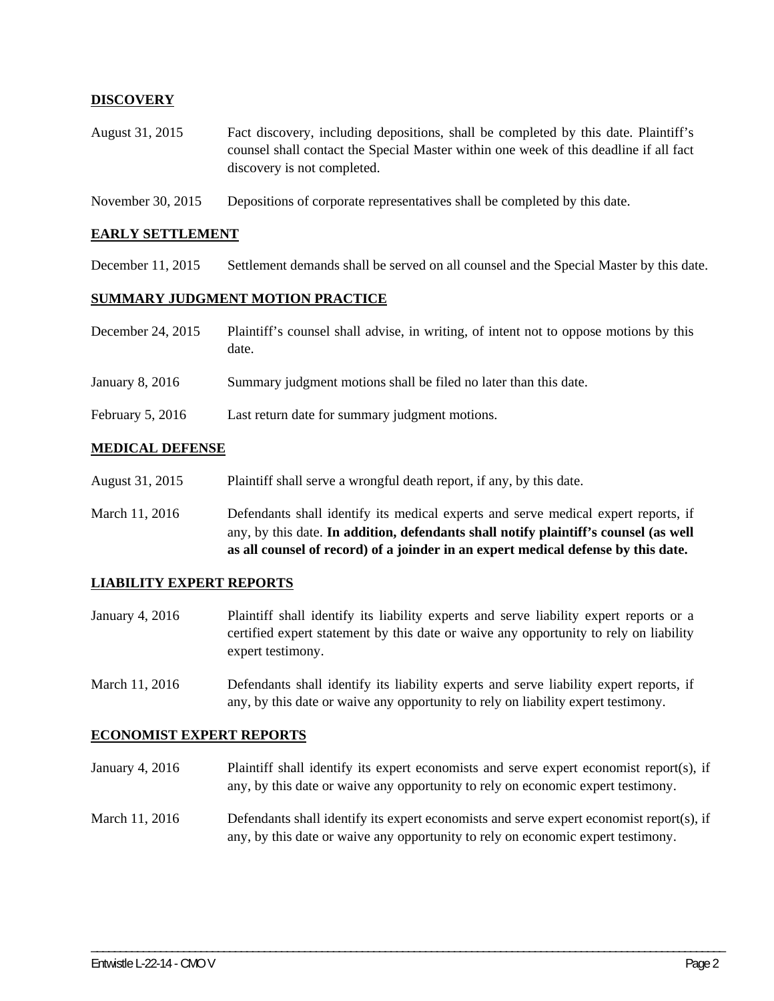## **DISCOVERY**

- August 31, 2015 Fact discovery, including depositions, shall be completed by this date. Plaintiff's counsel shall contact the Special Master within one week of this deadline if all fact discovery is not completed.
- November 30, 2015 Depositions of corporate representatives shall be completed by this date.

### **EARLY SETTLEMENT**

December 11, 2015 Settlement demands shall be served on all counsel and the Special Master by this date.

### **SUMMARY JUDGMENT MOTION PRACTICE**

| December 24, 2015  | Plaintiff's counsel shall advise, in writing, of intent not to oppose motions by this<br>date. |
|--------------------|------------------------------------------------------------------------------------------------|
| January 8, 2016    | Summary judgment motions shall be filed no later than this date.                               |
| February $5, 2016$ | Last return date for summary judgment motions.                                                 |

### **MEDICAL DEFENSE**

- August 31, 2015 Plaintiff shall serve a wrongful death report, if any, by this date.
- March 11, 2016 Defendants shall identify its medical experts and serve medical expert reports, if any, by this date. **In addition, defendants shall notify plaintiff's counsel (as well as all counsel of record) of a joinder in an expert medical defense by this date.**

### **LIABILITY EXPERT REPORTS**

- January 4, 2016 Plaintiff shall identify its liability experts and serve liability expert reports or a certified expert statement by this date or waive any opportunity to rely on liability expert testimony.
- March 11, 2016 Defendants shall identify its liability experts and serve liability expert reports, if any, by this date or waive any opportunity to rely on liability expert testimony.

#### **ECONOMIST EXPERT REPORTS**

- January 4, 2016 Plaintiff shall identify its expert economists and serve expert economist report(s), if any, by this date or waive any opportunity to rely on economic expert testimony.
- March 11, 2016 Defendants shall identify its expert economists and serve expert economist report(s), if any, by this date or waive any opportunity to rely on economic expert testimony.

\_\_\_\_\_\_\_\_\_\_\_\_\_\_\_\_\_\_\_\_\_\_\_\_\_\_\_\_\_\_\_\_\_\_\_\_\_\_\_\_\_\_\_\_\_\_\_\_\_\_\_\_\_\_\_\_\_\_\_\_\_\_\_\_\_\_\_\_\_\_\_\_\_\_\_\_\_\_\_\_\_\_\_\_\_\_\_\_\_\_\_\_\_\_\_\_\_\_\_\_\_\_\_\_\_\_\_\_\_\_